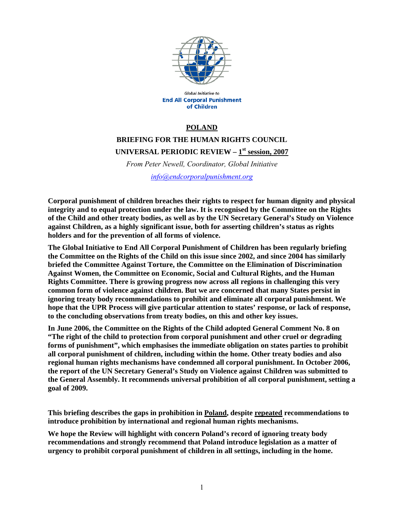

Global Initiative to **End All Corporal Punishment** of Children

#### **POLAND**

# **BRIEFING FOR THE HUMAN RIGHTS COUNCIL UNIVERSAL PERIODIC REVIEW – 1st session, 2007**

*From Peter Newell, Coordinator, Global Initiative info@endcorporalpunishment.org*

**Corporal punishment of children breaches their rights to respect for human dignity and physical integrity and to equal protection under the law. It is recognised by the Committee on the Rights of the Child and other treaty bodies, as well as by the UN Secretary General's Study on Violence against Children, as a highly significant issue, both for asserting children's status as rights holders and for the prevention of all forms of violence.** 

**The Global Initiative to End All Corporal Punishment of Children has been regularly briefing the Committee on the Rights of the Child on this issue since 2002, and since 2004 has similarly briefed the Committee Against Torture, the Committee on the Elimination of Discrimination Against Women, the Committee on Economic, Social and Cultural Rights, and the Human Rights Committee. There is growing progress now across all regions in challenging this very common form of violence against children. But we are concerned that many States persist in ignoring treaty body recommendations to prohibit and eliminate all corporal punishment. We hope that the UPR Process will give particular attention to states' response, or lack of response, to the concluding observations from treaty bodies, on this and other key issues.** 

**In June 2006, the Committee on the Rights of the Child adopted General Comment No. 8 on "The right of the child to protection from corporal punishment and other cruel or degrading forms of punishment", which emphasises the immediate obligation on states parties to prohibit all corporal punishment of children, including within the home. Other treaty bodies and also regional human rights mechanisms have condemned all corporal punishment. In October 2006, the report of the UN Secretary General's Study on Violence against Children was submitted to the General Assembly. It recommends universal prohibition of all corporal punishment, setting a goal of 2009.** 

**This briefing describes the gaps in prohibition in Poland, despite repeated recommendations to introduce prohibition by international and regional human rights mechanisms.** 

**We hope the Review will highlight with concern Poland's record of ignoring treaty body recommendations and strongly recommend that Poland introduce legislation as a matter of urgency to prohibit corporal punishment of children in all settings, including in the home.**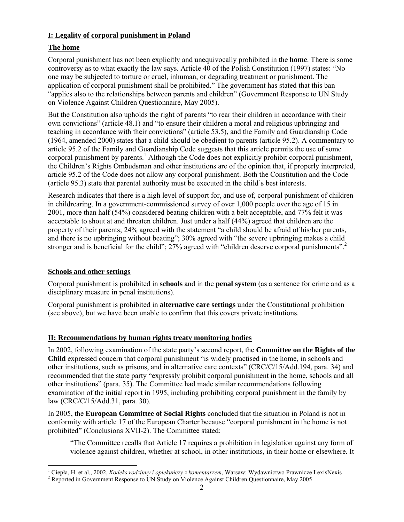#### **I: Legality of corporal punishment in Poland**

## **The home**

Corporal punishment has not been explicitly and unequivocally prohibited in the **home**. There is some controversy as to what exactly the law says. Article 40 of the Polish Constitution (1997) states: "No one may be subjected to torture or cruel, inhuman, or degrading treatment or punishment. The application of corporal punishment shall be prohibited." The government has stated that this ban "applies also to the relationships between parents and children" (Government Response to UN Study on Violence Against Children Questionnaire, May 2005).

But the Constitution also upholds the right of parents "to rear their children in accordance with their own convictions" (article 48.1) and "to ensure their children a moral and religious upbringing and teaching in accordance with their convictions" (article 53.5), and the Family and Guardianship Code (1964, amended 2000) states that a child should be obedient to parents (article 95.2). A commentary to article 95.2 of the Family and Guardianship Code suggests that this article permits the use of some corporal punishment by parents.<sup>1</sup> Although the Code does not explicitly prohibit corporal punishment, the Children's Rights Ombudsman and other institutions are of the opinion that, if properly interpreted, article 95.2 of the Code does not allow any corporal punishment. Both the Constitution and the Code (article 95.3) state that parental authority must be executed in the child's best interests.

Research indicates that there is a high level of support for, and use of, corporal punishment of children in childrearing. In a government-commissioned survey of over 1,000 people over the age of 15 in 2001, more than half (54%) considered beating children with a belt acceptable, and 77% felt it was acceptable to shout at and threaten children. Just under a half (44%) agreed that children are the property of their parents; 24% agreed with the statement "a child should be afraid of his/her parents, and there is no upbringing without beating"; 30% agreed with "the severe upbringing makes a child stronger and is beneficial for the child"; 27% agreed with "children deserve corporal punishments".<sup>2</sup>

### **Schools and other settings**

Corporal punishment is prohibited in **schools** and in the **penal system** (as a sentence for crime and as a disciplinary measure in penal institutions).

Corporal punishment is prohibited in **alternative care settings** under the Constitutional prohibition (see above), but we have been unable to confirm that this covers private institutions.

### **II: Recommendations by human rights treaty monitoring bodies**

In 2002, following examination of the state party's second report, the **Committee on the Rights of the Child** expressed concern that corporal punishment "is widely practised in the home, in schools and other institutions, such as prisons, and in alternative care contexts" (CRC/C/15/Add.194, para. 34) and recommended that the state party "expressly prohibit corporal punishment in the home, schools and all other institutions" (para. 35). The Committee had made similar recommendations following examination of the initial report in 1995, including prohibiting corporal punishment in the family by law (CRC/C/15/Add.31, para. 30).

In 2005, the **European Committee of Social Rights** concluded that the situation in Poland is not in conformity with article 17 of the European Charter because "corporal punishment in the home is not prohibited" (Conclusions XVII-2). The Committee stated:

"The Committee recalls that Article 17 requires a prohibition in legislation against any form of violence against children, whether at school, in other institutions, in their home or elsewhere. It

 $\overline{a}$ 1 Ciepła, H. et al., 2002, *Kodeks rodzinny i opiekuńczy z komentarzem*, Warsaw: Wydawnictwo Prawnicze LexisNexis 2

<sup>&</sup>lt;sup>2</sup> Reported in Government Response to UN Study on Violence Against Children Questionnaire, May 2005